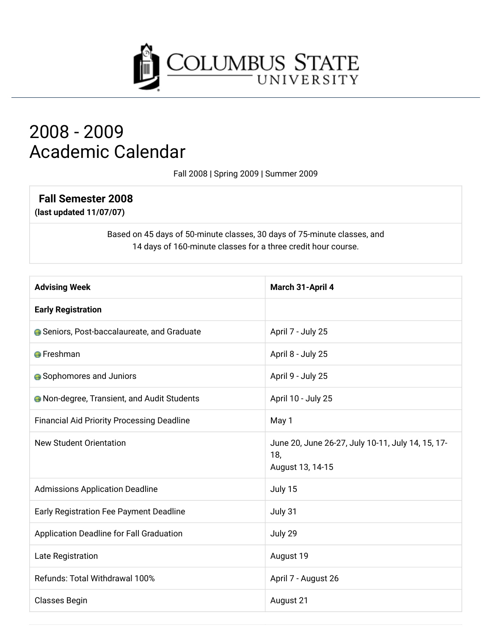

# 2008 - 2009 **Academic Calendar**

Fall 2008 | Spring 2009 | Summer 2009

## **Fall Semester 2008**

(last updated 11/07/07)

Based on 45 days of 50-minute classes, 30 days of 75-minute classes, and 14 days of 160-minute classes for a three credit hour course.

| <b>Advising Week</b>                               | March 31-April 4                                                             |
|----------------------------------------------------|------------------------------------------------------------------------------|
| <b>Early Registration</b>                          |                                                                              |
| Seniors, Post-baccalaureate, and Graduate          | April 7 - July 25                                                            |
| <b>A</b> Freshman                                  | April 8 - July 25                                                            |
| <b>•</b> Sophomores and Juniors                    | April 9 - July 25                                                            |
| <b>A</b> Non-degree, Transient, and Audit Students | April 10 - July 25                                                           |
| <b>Financial Aid Priority Processing Deadline</b>  | May 1                                                                        |
| <b>New Student Orientation</b>                     | June 20, June 26-27, July 10-11, July 14, 15, 17-<br>18,<br>August 13, 14-15 |
| <b>Admissions Application Deadline</b>             | July 15                                                                      |
| Early Registration Fee Payment Deadline            | July 31                                                                      |
| Application Deadline for Fall Graduation           | July 29                                                                      |
| Late Registration                                  | August 19                                                                    |
| Refunds: Total Withdrawal 100%                     | April 7 - August 26                                                          |
| <b>Classes Begin</b>                               | August 21                                                                    |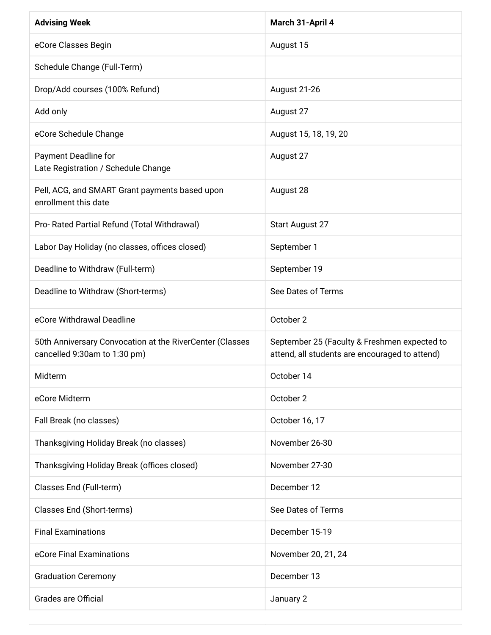| <b>Advising Week</b>                                                                     | March 31-April 4                                                                               |
|------------------------------------------------------------------------------------------|------------------------------------------------------------------------------------------------|
| eCore Classes Begin                                                                      | August 15                                                                                      |
| Schedule Change (Full-Term)                                                              |                                                                                                |
| Drop/Add courses (100% Refund)                                                           | August 21-26                                                                                   |
| Add only                                                                                 | August 27                                                                                      |
| eCore Schedule Change                                                                    | August 15, 18, 19, 20                                                                          |
| Payment Deadline for<br>Late Registration / Schedule Change                              | August 27                                                                                      |
| Pell, ACG, and SMART Grant payments based upon<br>enrollment this date                   | August 28                                                                                      |
| Pro- Rated Partial Refund (Total Withdrawal)                                             | Start August 27                                                                                |
| Labor Day Holiday (no classes, offices closed)                                           | September 1                                                                                    |
| Deadline to Withdraw (Full-term)                                                         | September 19                                                                                   |
| Deadline to Withdraw (Short-terms)                                                       | See Dates of Terms                                                                             |
| eCore Withdrawal Deadline                                                                | October 2                                                                                      |
| 50th Anniversary Convocation at the RiverCenter (Classes<br>cancelled 9:30am to 1:30 pm) | September 25 (Faculty & Freshmen expected to<br>attend, all students are encouraged to attend) |
| Midterm                                                                                  | October 14                                                                                     |
| eCore Midterm                                                                            | October 2                                                                                      |
| Fall Break (no classes)                                                                  | October 16, 17                                                                                 |
| Thanksgiving Holiday Break (no classes)                                                  | November 26-30                                                                                 |
| Thanksgiving Holiday Break (offices closed)                                              | November 27-30                                                                                 |
| Classes End (Full-term)                                                                  | December 12                                                                                    |
| Classes End (Short-terms)                                                                | See Dates of Terms                                                                             |
| <b>Final Examinations</b>                                                                | December 15-19                                                                                 |
| eCore Final Examinations                                                                 | November 20, 21, 24                                                                            |
| <b>Graduation Ceremony</b>                                                               | December 13                                                                                    |
| <b>Grades are Official</b>                                                               | January 2                                                                                      |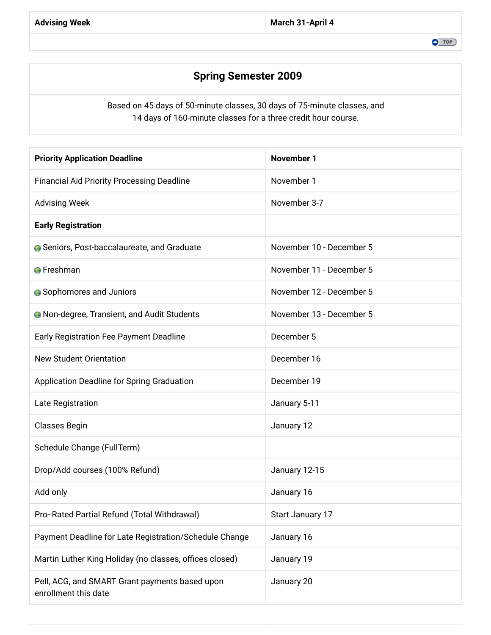### **Spring Semester 2009**

Based on 45 days of 50-minute classes, 30 days of 75-minute classes, and 14 days of 160-minute classes for a three credit hour course.

| <b>Priority Application Deadline</b>                                   | <b>November 1</b>        |
|------------------------------------------------------------------------|--------------------------|
| <b>Financial Aid Priority Processing Deadline</b>                      | November 1               |
| <b>Advising Week</b>                                                   | November 3-7             |
| <b>Early Registration</b>                                              |                          |
| <b>G</b> Seniors, Post-baccalaureate, and Graduate                     | November 10 - December 5 |
| <b>O</b> Freshman                                                      | November 11 - December 5 |
| <b>A</b> Sophomores and Juniors                                        | November 12 - December 5 |
| <b>A</b> Non-degree, Transient, and Audit Students                     | November 13 - December 5 |
| Early Registration Fee Payment Deadline                                | December 5               |
| <b>New Student Orientation</b>                                         | December 16              |
| Application Deadline for Spring Graduation                             | December 19              |
| Late Registration                                                      | January 5-11             |
| Classes Begin                                                          | January 12               |
| Schedule Change (FullTerm)                                             |                          |
| Drop/Add courses (100% Refund)                                         | January 12-15            |
| Add only                                                               | January 16               |
| Pro- Rated Partial Refund (Total Withdrawal)                           | Start January 17         |
| Payment Deadline for Late Registration/Schedule Change                 | January 16               |
| Martin Luther King Holiday (no classes, offices closed)                | January 19               |
| Pell, ACG, and SMART Grant payments based upon<br>enrollment this date | January 20               |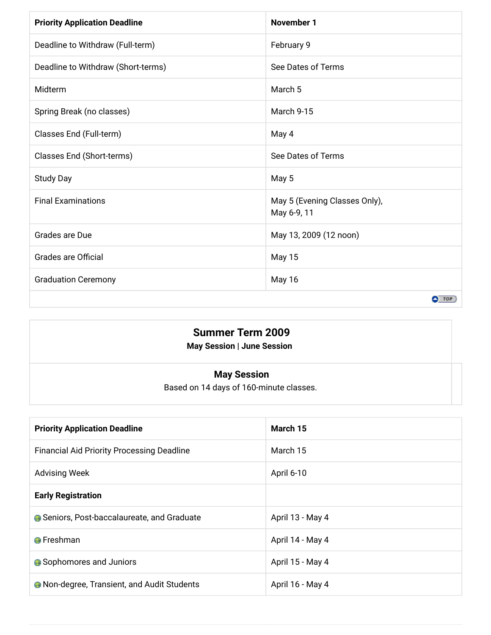| <b>Priority Application Deadline</b> | <b>November 1</b>                            |
|--------------------------------------|----------------------------------------------|
| Deadline to Withdraw (Full-term)     | February 9                                   |
| Deadline to Withdraw (Short-terms)   | See Dates of Terms                           |
| Midterm                              | March <sub>5</sub>                           |
| Spring Break (no classes)            | March 9-15                                   |
| Classes End (Full-term)              | May 4                                        |
| Classes End (Short-terms)            | See Dates of Terms                           |
| <b>Study Day</b>                     | May 5                                        |
| <b>Final Examinations</b>            | May 5 (Evening Classes Only),<br>May 6-9, 11 |
| Grades are Due                       | May 13, 2009 (12 noon)                       |
| <b>Grades are Official</b>           | <b>May 15</b>                                |
| <b>Graduation Ceremony</b>           | May 16                                       |
|                                      | $O$ TOP                                      |

#### **Summer Term 2009** May Session | June Session

#### **May Session**

Based on 14 days of 160-minute classes.

| <b>Priority Application Deadline</b>               | March 15         |
|----------------------------------------------------|------------------|
| <b>Financial Aid Priority Processing Deadline</b>  | March 15         |
| <b>Advising Week</b>                               | April 6-10       |
| <b>Early Registration</b>                          |                  |
| ● Seniors, Post-baccalaureate, and Graduate        | April 13 - May 4 |
| <b>O</b> Freshman                                  | April 14 - May 4 |
| Sophomores and Juniors                             | April 15 - May 4 |
| <b>A</b> Non-degree, Transient, and Audit Students | April 16 - May 4 |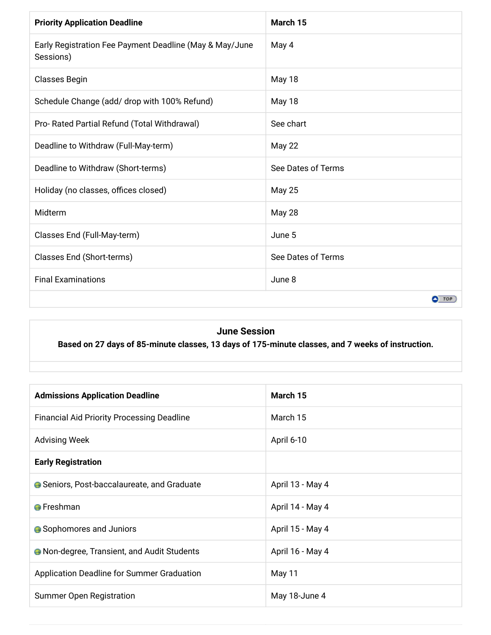| <b>Priority Application Deadline</b>                                 | March 15           |
|----------------------------------------------------------------------|--------------------|
| Early Registration Fee Payment Deadline (May & May/June<br>Sessions) | May 4              |
| <b>Classes Begin</b>                                                 | May 18             |
| Schedule Change (add/ drop with 100% Refund)                         | <b>May 18</b>      |
| Pro- Rated Partial Refund (Total Withdrawal)                         | See chart          |
| Deadline to Withdraw (Full-May-term)                                 | May 22             |
| Deadline to Withdraw (Short-terms)                                   | See Dates of Terms |
| Holiday (no classes, offices closed)                                 | <b>May 25</b>      |
| Midterm                                                              | May 28             |
| Classes End (Full-May-term)                                          | June 5             |
| Classes End (Short-terms)                                            | See Dates of Terms |
| <b>Final Examinations</b>                                            | June 8             |
|                                                                      | $\bullet$ TOP      |

#### **June Session**

Based on 27 days of 85-minute classes, 13 days of 175-minute classes, and 7 weeks of instruction.

| <b>Admissions Application Deadline</b>             | March 15         |
|----------------------------------------------------|------------------|
| <b>Financial Aid Priority Processing Deadline</b>  | March 15         |
| <b>Advising Week</b>                               | April 6-10       |
| <b>Early Registration</b>                          |                  |
| <b>A</b> Seniors, Post-baccalaureate, and Graduate | April 13 - May 4 |
| <b>O</b> Freshman                                  | April 14 - May 4 |
| ● Sophomores and Juniors                           | April 15 - May 4 |
| <b>A</b> Non-degree, Transient, and Audit Students | April 16 - May 4 |
| Application Deadline for Summer Graduation         | May 11           |
| <b>Summer Open Registration</b>                    | May 18-June 4    |